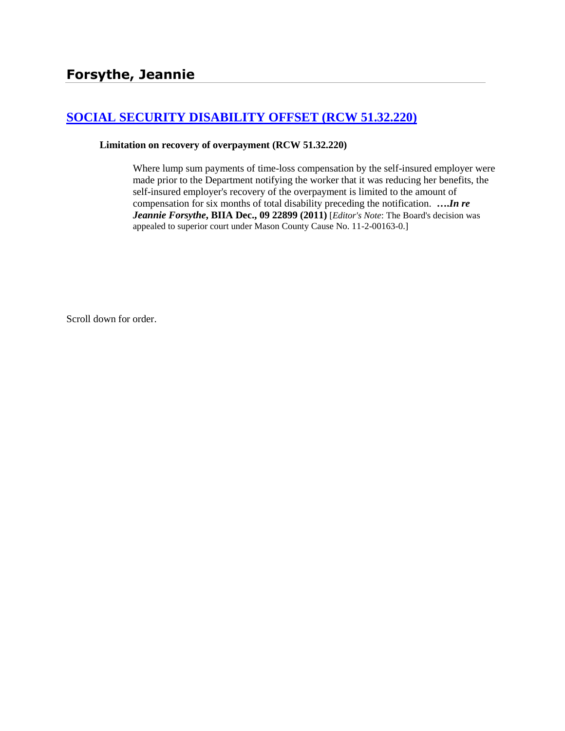# **[SOCIAL SECURITY DISABILITY OFFSET \(RCW 51.32.220\)](http://www.biia.wa.gov/SDSubjectIndex.html#SOCIAL_SECURITY_DISABILITY_OFFSET)**

#### **Limitation on recovery of overpayment (RCW 51.32.220)**

Where lump sum payments of time-loss compensation by the self-insured employer were made prior to the Department notifying the worker that it was reducing her benefits, the self-insured employer's recovery of the overpayment is limited to the amount of compensation for six months of total disability preceding the notification. **….***In re Jeannie Forsythe***, BIIA Dec., 09 22899 (2011)** [*Editor's Note*: The Board's decision was appealed to superior court under Mason County Cause No. 11-2-00163-0.]

Scroll down for order.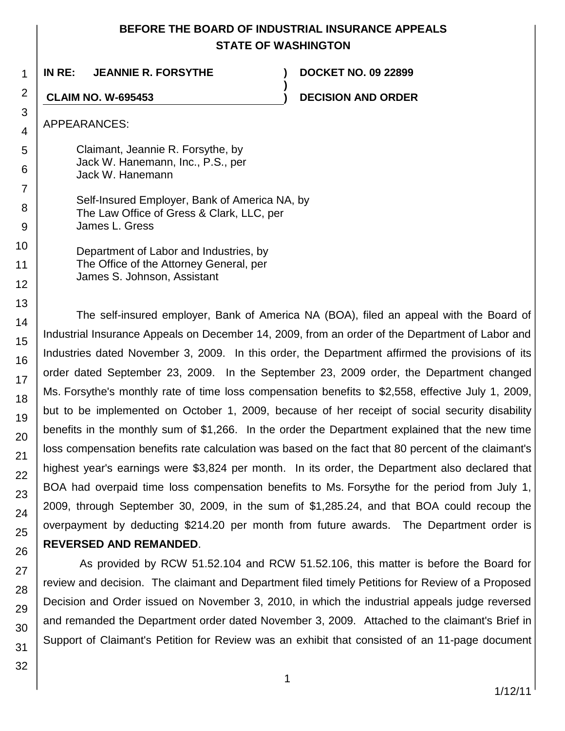# **BEFORE THE BOARD OF INDUSTRIAL INSURANCE APPEALS STATE OF WASHINGTON**

**)**

**IN RE: JEANNIE R. FORSYTHE ) DOCKET NO. 09 22899**

**CLAIM NO. W-695453 ) DECISION AND ORDER**

APPEARANCES:

Claimant, Jeannie R. Forsythe, by Jack W. Hanemann, Inc., P.S., per Jack W. Hanemann

Self-Insured Employer, Bank of America NA, by The Law Office of Gress & Clark, LLC, per James L. Gress

Department of Labor and Industries, by The Office of the Attorney General, per James S. Johnson, Assistant

The self-insured employer, Bank of America NA (BOA), filed an appeal with the Board of Industrial Insurance Appeals on December 14, 2009, from an order of the Department of Labor and Industries dated November 3, 2009. In this order, the Department affirmed the provisions of its order dated September 23, 2009. In the September 23, 2009 order, the Department changed Ms. Forsythe's monthly rate of time loss compensation benefits to \$2,558, effective July 1, 2009, but to be implemented on October 1, 2009, because of her receipt of social security disability benefits in the monthly sum of \$1,266. In the order the Department explained that the new time loss compensation benefits rate calculation was based on the fact that 80 percent of the claimant's highest year's earnings were \$3,824 per month. In its order, the Department also declared that BOA had overpaid time loss compensation benefits to Ms. Forsythe for the period from July 1, 2009, through September 30, 2009, in the sum of \$1,285.24, and that BOA could recoup the overpayment by deducting \$214.20 per month from future awards. The Department order is **REVERSED AND REMANDED**.

As provided by RCW 51.52.104 and RCW 51.52.106, this matter is before the Board for review and decision. The claimant and Department filed timely Petitions for Review of a Proposed Decision and Order issued on November 3, 2010, in which the industrial appeals judge reversed and remanded the Department order dated November 3, 2009. Attached to the claimant's Brief in Support of Claimant's Petition for Review was an exhibit that consisted of an 11-page document

1 2

3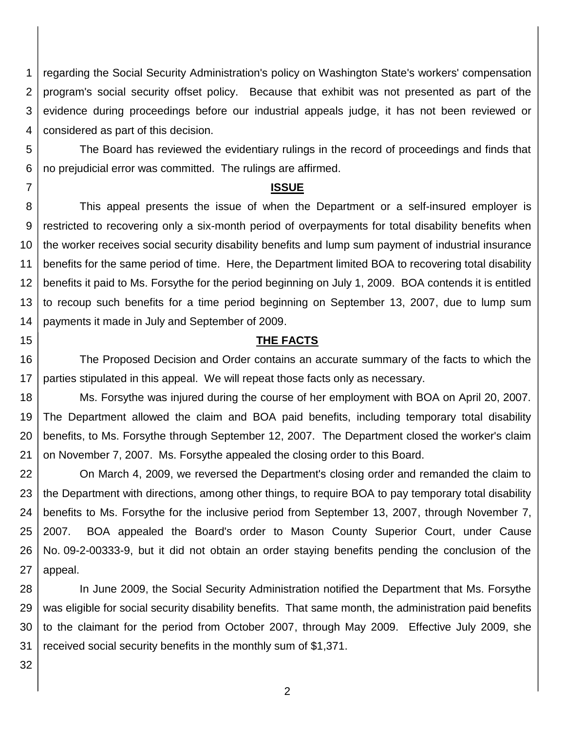1 2 3 4 regarding the Social Security Administration's policy on Washington State's workers' compensation program's social security offset policy. Because that exhibit was not presented as part of the evidence during proceedings before our industrial appeals judge, it has not been reviewed or considered as part of this decision.

5 6 The Board has reviewed the evidentiary rulings in the record of proceedings and finds that no prejudicial error was committed. The rulings are affirmed.

### **ISSUE**

8 9 10 11 12 13 14 This appeal presents the issue of when the Department or a self-insured employer is restricted to recovering only a six-month period of overpayments for total disability benefits when the worker receives social security disability benefits and lump sum payment of industrial insurance benefits for the same period of time. Here, the Department limited BOA to recovering total disability benefits it paid to Ms. Forsythe for the period beginning on July 1, 2009. BOA contends it is entitled to recoup such benefits for a time period beginning on September 13, 2007, due to lump sum payments it made in July and September of 2009.

## **THE FACTS**

16 17 The Proposed Decision and Order contains an accurate summary of the facts to which the parties stipulated in this appeal. We will repeat those facts only as necessary.

18 19 20 21 Ms. Forsythe was injured during the course of her employment with BOA on April 20, 2007. The Department allowed the claim and BOA paid benefits, including temporary total disability benefits, to Ms. Forsythe through September 12, 2007. The Department closed the worker's claim on November 7, 2007. Ms. Forsythe appealed the closing order to this Board.

22 23 24 25 26 27 On March 4, 2009, we reversed the Department's closing order and remanded the claim to the Department with directions, among other things, to require BOA to pay temporary total disability benefits to Ms. Forsythe for the inclusive period from September 13, 2007, through November 7, 2007. BOA appealed the Board's order to Mason County Superior Court, under Cause No. 09-2-00333-9, but it did not obtain an order staying benefits pending the conclusion of the appeal.

28 29 30 31 In June 2009, the Social Security Administration notified the Department that Ms. Forsythe was eligible for social security disability benefits. That same month, the administration paid benefits to the claimant for the period from October 2007, through May 2009. Effective July 2009, she received social security benefits in the monthly sum of \$1,371.

32

7

15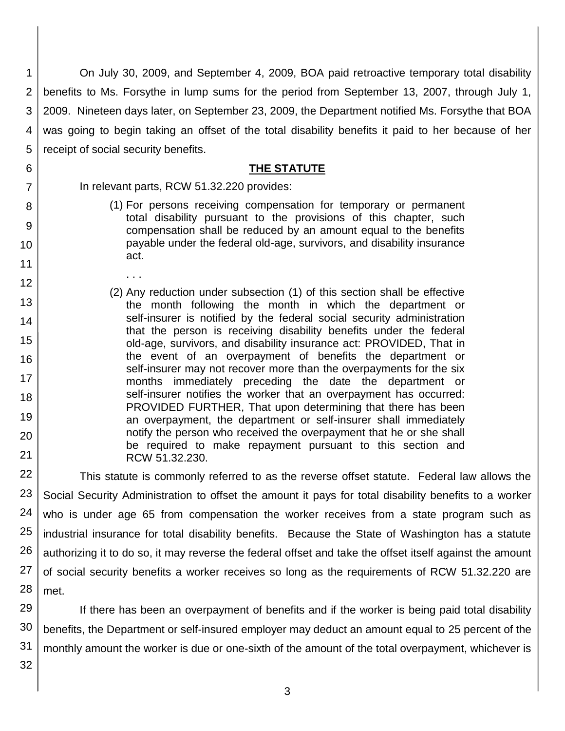1 2 3 4 5 On July 30, 2009, and September 4, 2009, BOA paid retroactive temporary total disability benefits to Ms. Forsythe in lump sums for the period from September 13, 2007, through July 1, 2009. Nineteen days later, on September 23, 2009, the Department notified Ms. Forsythe that BOA was going to begin taking an offset of the total disability benefits it paid to her because of her receipt of social security benefits.

## **THE STATUTE**

In relevant parts, RCW 51.32.220 provides:

. . .

- (1) For persons receiving compensation for temporary or permanent total disability pursuant to the provisions of this chapter, such compensation shall be reduced by an amount equal to the benefits payable under the federal old-age, survivors, and disability insurance act.
- 12 13 14 15 16 17 18 19 20 21 (2) Any reduction under subsection (1) of this section shall be effective the month following the month in which the department or self-insurer is notified by the federal social security administration that the person is receiving disability benefits under the federal old-age, survivors, and disability insurance act: PROVIDED, That in the event of an overpayment of benefits the department or self-insurer may not recover more than the overpayments for the six months immediately preceding the date the department or self-insurer notifies the worker that an overpayment has occurred: PROVIDED FURTHER, That upon determining that there has been an overpayment, the department or self-insurer shall immediately notify the person who received the overpayment that he or she shall be required to make repayment pursuant to this section and RCW 51.32.230.

22 23 24 25 26 27 28 This statute is commonly referred to as the reverse offset statute. Federal law allows the Social Security Administration to offset the amount it pays for total disability benefits to a worker who is under age 65 from compensation the worker receives from a state program such as industrial insurance for total disability benefits. Because the State of Washington has a statute authorizing it to do so, it may reverse the federal offset and take the offset itself against the amount of social security benefits a worker receives so long as the requirements of RCW 51.32.220 are met.

29 30 31 If there has been an overpayment of benefits and if the worker is being paid total disability benefits, the Department or self-insured employer may deduct an amount equal to 25 percent of the monthly amount the worker is due or one-sixth of the amount of the total overpayment, whichever is

32

6

7

8

9

10

11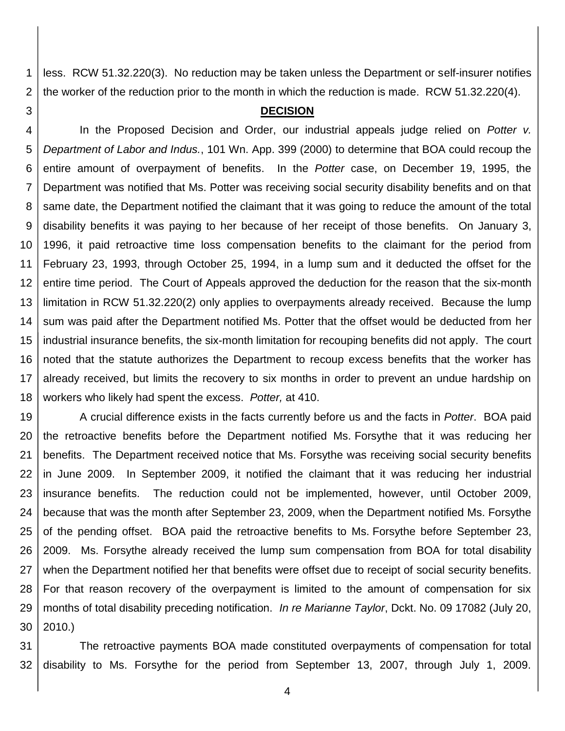1 2 less. RCW 51.32.220(3). No reduction may be taken unless the Department or self-insurer notifies the worker of the reduction prior to the month in which the reduction is made. RCW 51.32.220(4).

### **DECISION**

3

4 5 6 7 8 9 10 11 12 13 14 15 16 17 18 In the Proposed Decision and Order, our industrial appeals judge relied on *Potter v. Department of Labor and Indus.*, 101 Wn. App. 399 (2000) to determine that BOA could recoup the entire amount of overpayment of benefits. In the *Potter* case, on December 19, 1995, the Department was notified that Ms. Potter was receiving social security disability benefits and on that same date, the Department notified the claimant that it was going to reduce the amount of the total disability benefits it was paying to her because of her receipt of those benefits. On January 3, 1996, it paid retroactive time loss compensation benefits to the claimant for the period from February 23, 1993, through October 25, 1994, in a lump sum and it deducted the offset for the entire time period. The Court of Appeals approved the deduction for the reason that the six-month limitation in RCW 51.32.220(2) only applies to overpayments already received. Because the lump sum was paid after the Department notified Ms. Potter that the offset would be deducted from her industrial insurance benefits, the six-month limitation for recouping benefits did not apply. The court noted that the statute authorizes the Department to recoup excess benefits that the worker has already received, but limits the recovery to six months in order to prevent an undue hardship on workers who likely had spent the excess. *Potter,* at 410.

19 20 21 22 23 24 25 26 27 28 29 30 A crucial difference exists in the facts currently before us and the facts in *Potter*. BOA paid the retroactive benefits before the Department notified Ms. Forsythe that it was reducing her benefits. The Department received notice that Ms. Forsythe was receiving social security benefits in June 2009. In September 2009, it notified the claimant that it was reducing her industrial insurance benefits. The reduction could not be implemented, however, until October 2009, because that was the month after September 23, 2009, when the Department notified Ms. Forsythe of the pending offset. BOA paid the retroactive benefits to Ms. Forsythe before September 23, 2009. Ms. Forsythe already received the lump sum compensation from BOA for total disability when the Department notified her that benefits were offset due to receipt of social security benefits. For that reason recovery of the overpayment is limited to the amount of compensation for six months of total disability preceding notification. *In re Marianne Taylor*, Dckt. No. 09 17082 (July 20, 2010.)

31 32 The retroactive payments BOA made constituted overpayments of compensation for total disability to Ms. Forsythe for the period from September 13, 2007, through July 1, 2009.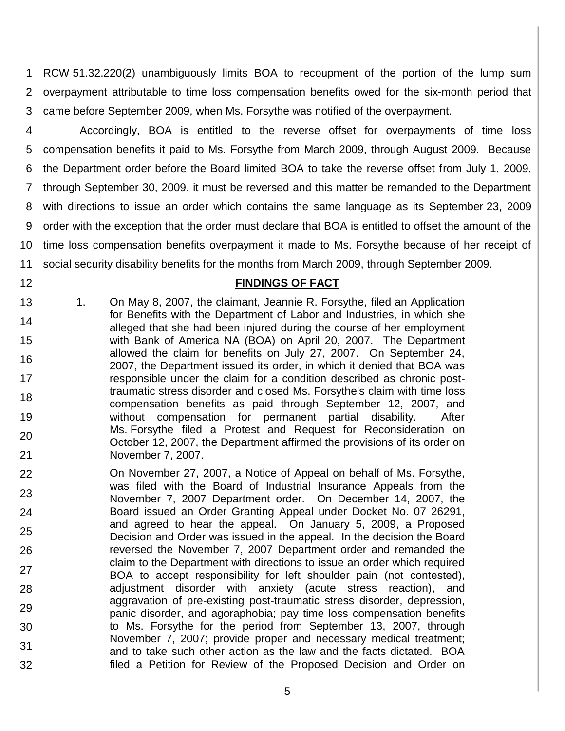1 2 3 RCW 51.32.220(2) unambiguously limits BOA to recoupment of the portion of the lump sum overpayment attributable to time loss compensation benefits owed for the six-month period that came before September 2009, when Ms. Forsythe was notified of the overpayment.

4 5 6 7 8 9 10 11 Accordingly, BOA is entitled to the reverse offset for overpayments of time loss compensation benefits it paid to Ms. Forsythe from March 2009, through August 2009. Because the Department order before the Board limited BOA to take the reverse offset from July 1, 2009, through September 30, 2009, it must be reversed and this matter be remanded to the Department with directions to issue an order which contains the same language as its September 23, 2009 order with the exception that the order must declare that BOA is entitled to offset the amount of the time loss compensation benefits overpayment it made to Ms. Forsythe because of her receipt of social security disability benefits for the months from March 2009, through September 2009.

# **FINDINGS OF FACT**

1. On May 8, 2007, the claimant, Jeannie R. Forsythe, filed an Application for Benefits with the Department of Labor and Industries, in which she alleged that she had been injured during the course of her employment with Bank of America NA (BOA) on April 20, 2007. The Department allowed the claim for benefits on July 27, 2007. On September 24, 2007, the Department issued its order, in which it denied that BOA was responsible under the claim for a condition described as chronic posttraumatic stress disorder and closed Ms. Forsythe's claim with time loss compensation benefits as paid through September 12, 2007, and without compensation for permanent partial disability. After Ms. Forsythe filed a Protest and Request for Reconsideration on October 12, 2007, the Department affirmed the provisions of its order on November 7, 2007.

12

13

14

15

16

17

18

19

20

- 22 23 24 25 26 27 28 29 30 31 32 On November 27, 2007, a Notice of Appeal on behalf of Ms. Forsythe, was filed with the Board of Industrial Insurance Appeals from the November 7, 2007 Department order. On December 14, 2007, the Board issued an Order Granting Appeal under Docket No. 07 26291, and agreed to hear the appeal. On January 5, 2009, a Proposed Decision and Order was issued in the appeal. In the decision the Board reversed the November 7, 2007 Department order and remanded the claim to the Department with directions to issue an order which required BOA to accept responsibility for left shoulder pain (not contested), adjustment disorder with anxiety (acute stress reaction), and aggravation of pre-existing post-traumatic stress disorder, depression, panic disorder, and agoraphobia; pay time loss compensation benefits to Ms. Forsythe for the period from September 13, 2007, through November 7, 2007; provide proper and necessary medical treatment; and to take such other action as the law and the facts dictated. BOA filed a Petition for Review of the Proposed Decision and Order on
	- 5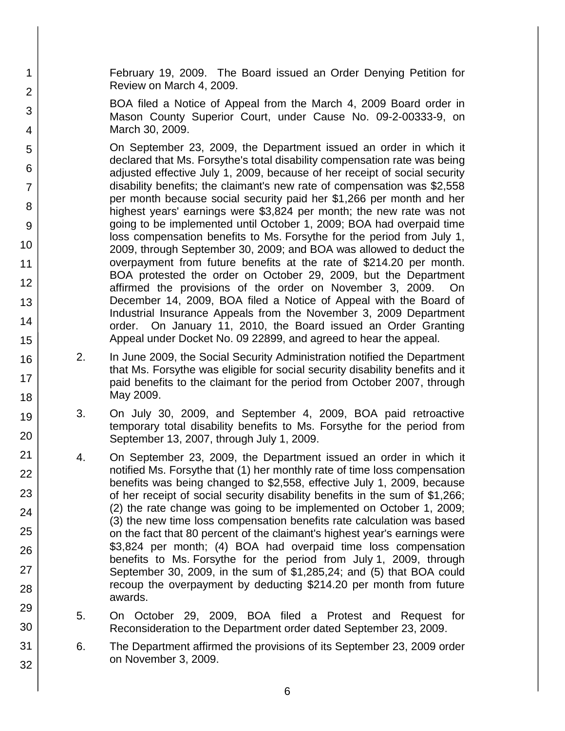February 19, 2009. The Board issued an Order Denying Petition for Review on March 4, 2009.

1

2

3

4

5

6

7

8

9

10

11

12

13

14

15

16

17

18

19

20

21 22

23

24

25

26

27

28

29

30

31

32

BOA filed a Notice of Appeal from the March 4, 2009 Board order in Mason County Superior Court, under Cause No. 09-2-00333-9, on March 30, 2009.

On September 23, 2009, the Department issued an order in which it declared that Ms. Forsythe's total disability compensation rate was being adjusted effective July 1, 2009, because of her receipt of social security disability benefits; the claimant's new rate of compensation was \$2,558 per month because social security paid her \$1,266 per month and her highest years' earnings were \$3,824 per month; the new rate was not going to be implemented until October 1, 2009; BOA had overpaid time loss compensation benefits to Ms. Forsythe for the period from July 1, 2009, through September 30, 2009; and BOA was allowed to deduct the overpayment from future benefits at the rate of \$214.20 per month. BOA protested the order on October 29, 2009, but the Department affirmed the provisions of the order on November 3, 2009. On December 14, 2009, BOA filed a Notice of Appeal with the Board of Industrial Insurance Appeals from the November 3, 2009 Department order. On January 11, 2010, the Board issued an Order Granting Appeal under Docket No. 09 22899, and agreed to hear the appeal.

- 2. In June 2009, the Social Security Administration notified the Department that Ms. Forsythe was eligible for social security disability benefits and it paid benefits to the claimant for the period from October 2007, through May 2009.
- 3. On July 30, 2009, and September 4, 2009, BOA paid retroactive temporary total disability benefits to Ms. Forsythe for the period from September 13, 2007, through July 1, 2009.
- 4. On September 23, 2009, the Department issued an order in which it notified Ms. Forsythe that (1) her monthly rate of time loss compensation benefits was being changed to \$2,558, effective July 1, 2009, because of her receipt of social security disability benefits in the sum of \$1,266; (2) the rate change was going to be implemented on October 1, 2009; (3) the new time loss compensation benefits rate calculation was based on the fact that 80 percent of the claimant's highest year's earnings were \$3,824 per month; (4) BOA had overpaid time loss compensation benefits to Ms. Forsythe for the period from July 1, 2009, through September 30, 2009, in the sum of \$1,285,24; and (5) that BOA could recoup the overpayment by deducting \$214.20 per month from future awards.
- 5. On October 29, 2009, BOA filed a Protest and Request for Reconsideration to the Department order dated September 23, 2009.
- 6. The Department affirmed the provisions of its September 23, 2009 order on November 3, 2009.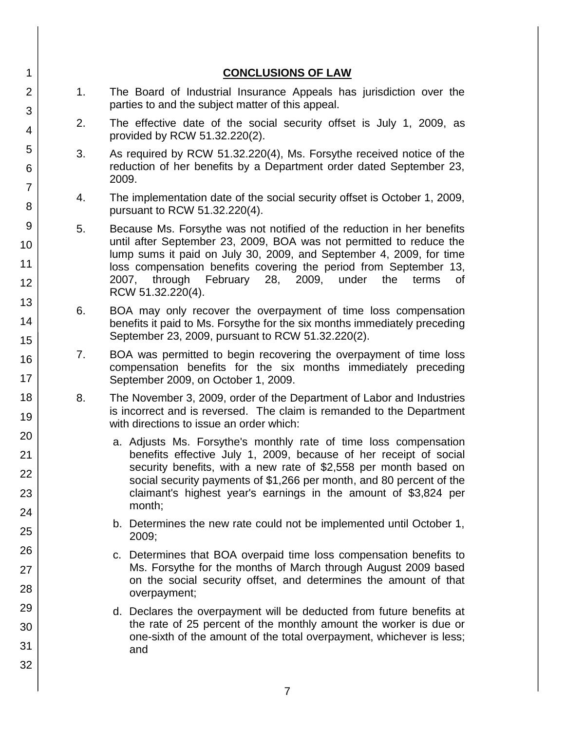| 1                          |    | <b>CONCLUSIONS OF LAW</b>                                                                                                                                                                                                                                                                                                                                                            |
|----------------------------|----|--------------------------------------------------------------------------------------------------------------------------------------------------------------------------------------------------------------------------------------------------------------------------------------------------------------------------------------------------------------------------------------|
| $\overline{2}$             | 1. | The Board of Industrial Insurance Appeals has jurisdiction over the<br>parties to and the subject matter of this appeal.                                                                                                                                                                                                                                                             |
| 3<br>4                     | 2. | The effective date of the social security offset is July 1, 2009, as<br>provided by RCW 51.32.220(2).                                                                                                                                                                                                                                                                                |
| 5<br>6                     | 3. | As required by RCW 51.32.220(4), Ms. Forsythe received notice of the<br>reduction of her benefits by a Department order dated September 23,<br>2009.                                                                                                                                                                                                                                 |
| $\overline{7}$<br>8        | 4. | The implementation date of the social security offset is October 1, 2009,<br>pursuant to RCW 51.32.220(4).                                                                                                                                                                                                                                                                           |
| 9<br>10<br>11<br>12        | 5. | Because Ms. Forsythe was not notified of the reduction in her benefits<br>until after September 23, 2009, BOA was not permitted to reduce the<br>lump sums it paid on July 30, 2009, and September 4, 2009, for time<br>loss compensation benefits covering the period from September 13,<br>2007, through<br>February 28, 2009,<br>under<br>the<br>terms<br>0f<br>RCW 51.32.220(4). |
| 13<br>14<br>15             | 6. | BOA may only recover the overpayment of time loss compensation<br>benefits it paid to Ms. Forsythe for the six months immediately preceding<br>September 23, 2009, pursuant to RCW 51.32.220(2).                                                                                                                                                                                     |
| 16<br>17                   | 7. | BOA was permitted to begin recovering the overpayment of time loss<br>compensation benefits for the six months immediately preceding<br>September 2009, on October 1, 2009.                                                                                                                                                                                                          |
| 18<br>19                   | 8. | The November 3, 2009, order of the Department of Labor and Industries<br>is incorrect and is reversed. The claim is remanded to the Department<br>with directions to issue an order which:                                                                                                                                                                                           |
| 20<br>21<br>22<br>23<br>24 |    | a. Adjusts Ms. Forsythe's monthly rate of time loss compensation<br>benefits effective July 1, 2009, because of her receipt of social<br>security benefits, with a new rate of \$2,558 per month based on<br>social security payments of \$1,266 per month, and 80 percent of the<br>claimant's highest year's earnings in the amount of \$3,824 per<br>month;                       |
| 25                         |    | b. Determines the new rate could not be implemented until October 1,<br>2009;                                                                                                                                                                                                                                                                                                        |
| 26<br>27<br>28             |    | c. Determines that BOA overpaid time loss compensation benefits to<br>Ms. Forsythe for the months of March through August 2009 based<br>on the social security offset, and determines the amount of that<br>overpayment;                                                                                                                                                             |
| 29<br>30<br>31<br>32       |    | d. Declares the overpayment will be deducted from future benefits at<br>the rate of 25 percent of the monthly amount the worker is due or<br>one-sixth of the amount of the total overpayment, whichever is less;<br>and                                                                                                                                                             |
|                            |    |                                                                                                                                                                                                                                                                                                                                                                                      |